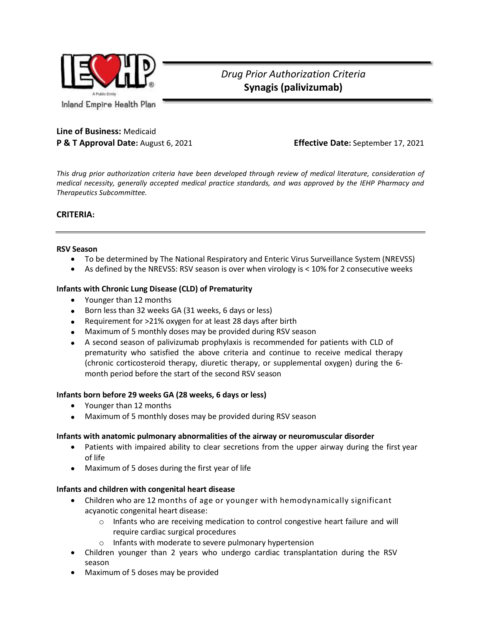

*Drug Prior Authorization Criteria* **Synagis (palivizumab)**

# **Line of Business:** Medicaid **P & T Approval Date:** August 6, 2021 **Effective Date:** September 17, 2021

*This drug prior authorization criteria have been developed through review of medical literature, consideration of medical necessity, generally accepted medical practice standards, and was approved by the IEHP Pharmacy and Therapeutics Subcommittee.*

## **CRITERIA:**

#### **RSV Season**

- To be determined by The National Respiratory and Enteric Virus Surveillance System (NREVSS)
- As defined by the NREVSS: RSV season is over when virology is < 10% for 2 consecutive weeks

#### **Infants with Chronic Lung Disease (CLD) of Prematurity**

- Younger than 12 months
- Born less than 32 weeks GA (31 weeks, 6 days or less)
- Requirement for >21% oxygen for at least 28 days after birth
- Maximum of 5 monthly doses may be provided during RSV season
- A second season of palivizumab prophylaxis is recommended for patients with CLD of prematurity who satisfied the above criteria and continue to receive medical therapy (chronic corticosteroid therapy, diuretic therapy, or supplemental oxygen) during the 6 month period before the start of the second RSV season

#### **Infants born before 29 weeks GA (28 weeks, 6 days or less)**

- Younger than 12 months
- Maximum of 5 monthly doses may be provided during RSV season

#### **Infants with anatomic pulmonary abnormalities of the airway or neuromuscular disorder**

- Patients with impaired ability to clear secretions from the upper airway during the first year of life
- Maximum of 5 doses during the first year of life

#### **Infants and children with congenital heart disease**

- Children who are 12 months of age or younger with hemodynamically significant acyanotic congenital heart disease:
	- $\circ$  Infants who are receiving medication to control congestive heart failure and will require cardiac surgical procedures
	- o Infants with moderate to severe pulmonary hypertension
- Children younger than 2 years who undergo cardiac transplantation during the RSV season
- Maximum of 5 doses may be provided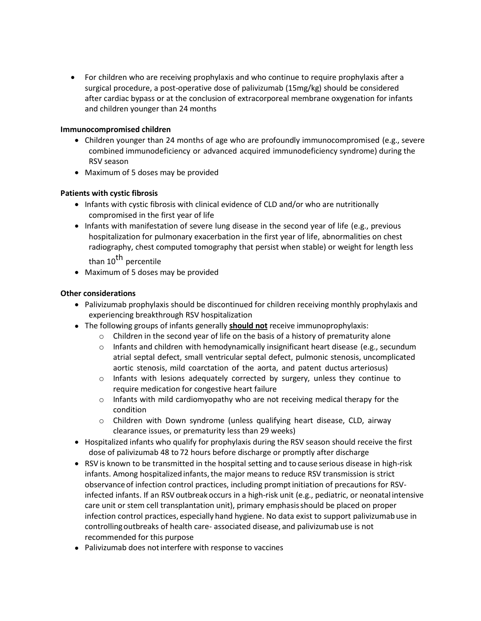• For children who are receiving prophylaxis and who continue to require prophylaxis after a surgical procedure, a post-operative dose of palivizumab (15mg/kg) should be considered after cardiac bypass or at the conclusion of extracorporeal membrane oxygenation for infants and children younger than 24 months

## **Immunocompromised children**

- Children younger than 24 months of age who are profoundly immunocompromised (e.g., severe combined immunodeficiency or advanced acquired immunodeficiency syndrome) during the RSV season
- Maximum of 5 doses may be provided

## **Patients with cystic fibrosis**

- Infants with cystic fibrosis with clinical evidence of CLD and/or who are nutritionally compromised in the first year of life
- Infants with manifestation of severe lung disease in the second year of life (e.g., previous hospitalization for pulmonary exacerbation in the first year of life, abnormalities on chest radiography, chest computed tomography that persist when stable) or weight for length less than 10<sup>th</sup> percentile
- Maximum of 5 doses may be provided

## **Other considerations**

- Palivizumab prophylaxis should be discontinued for children receiving monthly prophylaxis and experiencing breakthrough RSV hospitalization
- The following groups of infants generally **should not** receive immunoprophylaxis:
	- o Children in the second year of life on the basis of a history of prematurity alone
	- $\circ$  Infants and children with hemodynamically insignificant heart disease (e.g., secundum atrial septal defect, small ventricular septal defect, pulmonic stenosis, uncomplicated aortic stenosis, mild coarctation of the aorta, and patent ductus arteriosus)
	- $\circ$  Infants with lesions adequately corrected by surgery, unless they continue to require medication for congestive heart failure
	- $\circ$  Infants with mild cardiomyopathy who are not receiving medical therapy for the condition
	- o Children with Down syndrome (unless qualifying heart disease, CLD, airway clearance issues, or prematurity less than 29 weeks)
- Hospitalized infants who qualify for prophylaxis during the RSV season should receive the first dose of palivizumab 48 to 72 hours before discharge or promptly after discharge
- RSVis known to be transmitted in the hospital setting and to cause serious disease in high-risk infants. Among hospitalized infants, the major means to reduce RSV transmission is strict observance of infection control practices, including prompt initiation of precautions for RSVinfected infants. If an RSV outbreak occurs in a high-risk unit (e.g., pediatric, or neonatal intensive care unit or stem cell transplantation unit), primary emphasisshould be placed on proper infection control practices, especially hand hygiene. No data exist to support palivizumab use in controllingoutbreaks of health care- associated disease, and palivizumab use is not recommended for this purpose
- Palivizumab does notinterfere with response to vaccines